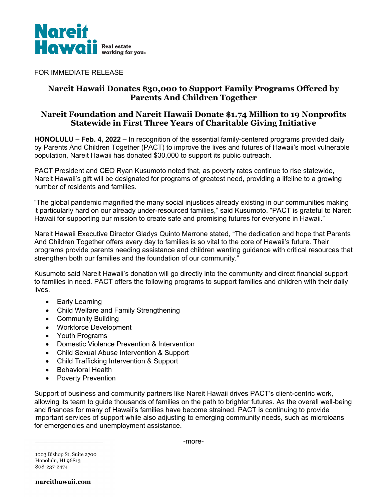

FOR IMMEDIATE RELEASE

## **Nareit Hawaii Donates \$30,000 to Support Family Programs Offered by Parents And Children Together**

## **Nareit Foundation and Nareit Hawaii Donate \$1.74 Million to 19 Nonprofits Statewide in First Three Years of Charitable Giving Initiative**

**HONOLULU – Feb. 4, 2022 –** In recognition of the essential family-centered programs provided daily by Parents And Children Together (PACT) to improve the lives and futures of Hawaii's most vulnerable population, Nareit Hawaii has donated \$30,000 to support its public outreach.

PACT President and CEO Ryan Kusumoto noted that, as poverty rates continue to rise statewide, Nareit Hawaii's gift will be designated for programs of greatest need, providing a lifeline to a growing number of residents and families.

"The global pandemic magnified the many social injustices already existing in our communities making it particularly hard on our already under-resourced families," said Kusumoto. "PACT is grateful to Nareit Hawaii for supporting our mission to create safe and promising futures for everyone in Hawaii."

Nareit Hawaii Executive Director Gladys Quinto Marrone stated, "The dedication and hope that Parents And Children Together offers every day to families is so vital to the core of Hawaii's future. Their programs provide parents needing assistance and children wanting guidance with critical resources that strengthen both our families and the foundation of our community."

Kusumoto said Nareit Hawaii's donation will go directly into the community and direct financial support to families in need. PACT offers the following programs to support families and children with their daily lives.

- Early Learning
- Child Welfare and Family Strengthening
- Community Building
- Workforce Development
- Youth Programs
- Domestic Violence Prevention & Intervention
- Child Sexual Abuse Intervention & Support
- Child Trafficking Intervention & Support
- Behavioral Health
- Poverty Prevention

Support of business and community partners like Nareit Hawaii drives PACT's client-centric work, allowing its team to guide thousands of families on the path to brighter futures. As the overall well-being and finances for many of Hawaii's families have become strained, PACT is continuing to provide important services of support while also adjusting to emerging community needs, such as microloans for emergencies and unemployment assistance.

-more-

1003 Bishop St, Suite 2700 Honolulu, HI 96813 808-237-2474